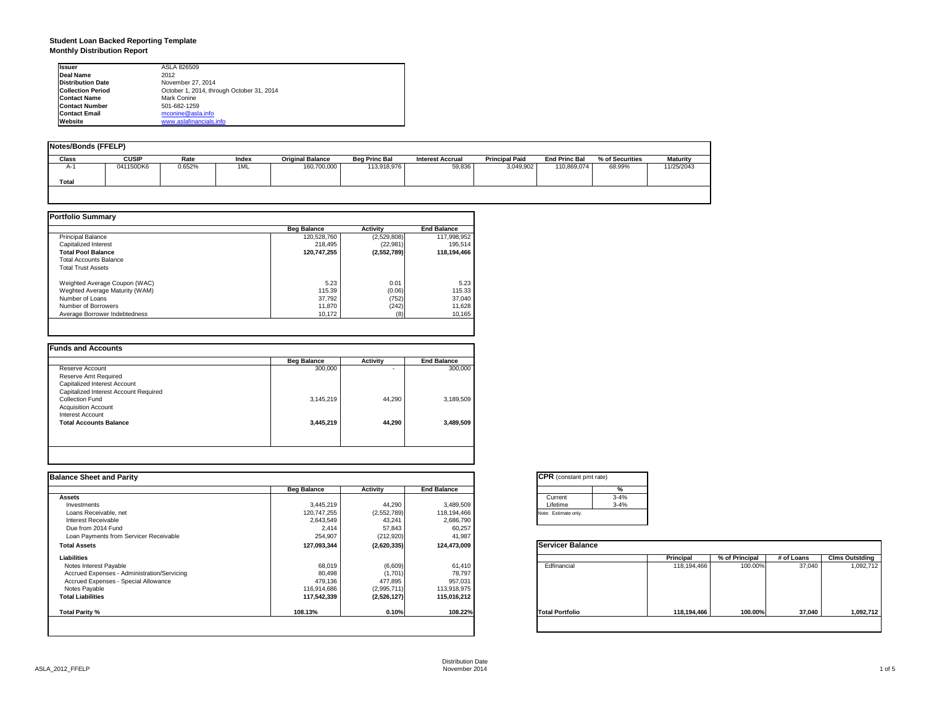#### **Student Loan Backed Reporting Template Monthly Distribution Report**

| <b>Issuer</b>            | ASLA 826509                               |
|--------------------------|-------------------------------------------|
| Deal Name                | 2012                                      |
| <b>Distribution Date</b> | November 27, 2014                         |
| <b>Collection Period</b> | October 1, 2014, through October 31, 2014 |
| <b>Contact Name</b>      | Mark Conine                               |
| <b>Contact Number</b>    | 501-682-1259                              |
| <b>Contact Email</b>     | mconine@asla.info                         |
| Website                  | www.aslafinancials.info                   |

| Notes/Bonds (FFELP) |              |        |       |                         |                      |                         |                       |                      |                 |                 |
|---------------------|--------------|--------|-------|-------------------------|----------------------|-------------------------|-----------------------|----------------------|-----------------|-----------------|
| <b>Class</b>        | <b>CUSIP</b> | Rate   | Index | <b>Original Balance</b> | <b>Beg Princ Bal</b> | <b>Interest Accrual</b> | <b>Principal Paid</b> | <b>End Princ Bal</b> | % of Securities | <b>Maturity</b> |
| $A-1$               | 041150DK6    | 0.652% | 1ML   | 160,700,000             | 113,918,976          | 59,836                  | 3,049,902             | 110,869,074          | 68.99%          | 11/25/2043      |
| <b>Total</b>        |              |        |       |                         |                      |                         |                       |                      |                 |                 |
|                     |              |        |       |                         |                      |                         |                       |                      |                 |                 |

|                                | <b>Beg Balance</b> | <b>Activity</b> | <b>End Balance</b> |
|--------------------------------|--------------------|-----------------|--------------------|
| <b>Principal Balance</b>       | 120,528,760        | (2,529,808)     | 117,998,952        |
| Capitalized Interest           | 218.495            | (22, 981)       | 195.514            |
| <b>Total Pool Balance</b>      | 120.747.255        | (2,552,789)     | 118.194.466        |
| <b>Total Accounts Balance</b>  |                    |                 |                    |
| <b>Total Trust Assets</b>      |                    |                 |                    |
| Weighted Average Coupon (WAC)  | 5.23               | 0.01            | 5.23               |
| Weghted Average Maturity (WAM) | 115.39             | (0.06)          | 115.33             |
| Number of Loans                | 37,792             | (752)           | 37,040             |
| Number of Borrowers            | 11.870             | (242)           | 11,628             |
| Average Borrower Indebtedness  | 10.172             | (8)             | 10,165             |

| <b>Beg Balance</b> | Activity | <b>End Balance</b> |
|--------------------|----------|--------------------|
| 300,000            | ٠        | 300,000            |
|                    |          |                    |
|                    |          |                    |
|                    |          |                    |
| 3,145,219          | 44,290   | 3,189,509          |
|                    |          |                    |
|                    |          |                    |
| 3,445,219          | 44,290   | 3,489,509          |
|                    |          |                    |
|                    |          |                    |
|                    |          |                    |

|                    |             |                    | <b>CPR</b> (constant pmt rate)                      |             |                |            |                       |
|--------------------|-------------|--------------------|-----------------------------------------------------|-------------|----------------|------------|-----------------------|
| <b>Beg Balance</b> | Activity    | <b>End Balance</b> | %                                                   |             |                |            |                       |
|                    |             |                    | $3 - 4%$<br>Current                                 |             |                |            |                       |
| 3,445,219          | 44,290      | 3,489,509          | $3 - 4%$<br>Lifetime                                |             |                |            |                       |
| 120,747,255        | (2,552,789) |                    | Note: Estimate only.                                |             |                |            |                       |
| 2,643,549          | 43,241      | 2,686,790          |                                                     |             |                |            |                       |
| 2,414              | 57,843      | 60,257             |                                                     |             |                |            |                       |
| 254,907            | (212, 920)  | 41,987             |                                                     |             |                |            |                       |
| 127,093,344        | (2,620,335) | 124,473,009        | <b>Servicer Balance</b>                             |             |                |            |                       |
|                    |             |                    |                                                     | Principal   | % of Principal | # of Loans | <b>Clms Outstding</b> |
| 68,019             | (6,609)     | 61,410             | Edfinancial                                         | 118,194,466 | 100.00%        | 37,040     | 1,092,712             |
|                    |             |                    |                                                     |             |                |            |                       |
| 479,136            | 477,895     | 957,031            |                                                     |             |                |            |                       |
| 116,914,686        | (2,995,711) |                    |                                                     |             |                |            |                       |
| 117,542,339        | (2,526,127) |                    |                                                     |             |                |            |                       |
| 108.13%            | 0.10%       | 108.22%            | <b>Total Portfolio</b>                              | 118,194,466 | 100.00%        | 37,040     | 1,092,712             |
|                    | 80,498      | (1,701)            | 118,194,466<br>78,797<br>113,918,975<br>115,016,212 |             |                |            |                       |

| Current  | $3 - 4%$ |
|----------|----------|
| Lifetime | $3 - 4%$ |

|                        | Principal   | % of Principal | # of Loans | <b>Clms Outstding</b> |
|------------------------|-------------|----------------|------------|-----------------------|
| Edfinancial            | 118,194,466 | 100.00%        | 37,040     | 1,092,712             |
| <b>Total Portfolio</b> | 118,194,466 | 100.00%        | 37,040     | 1,092,712             |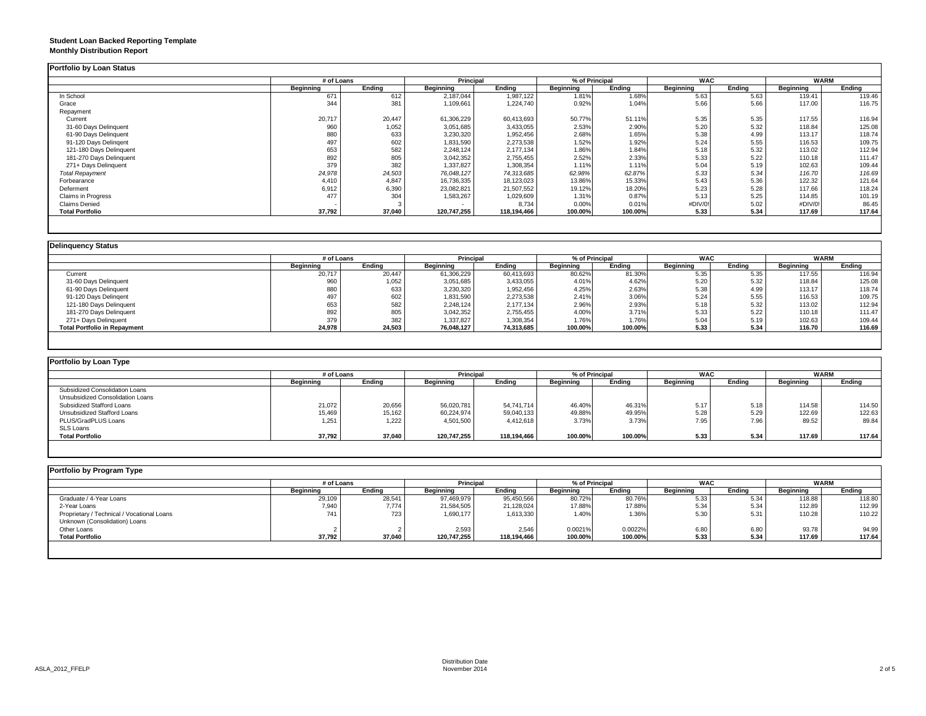#### **Student Loan Backed Reporting Template Monthly Distribution Report**

|                         |           | # of Loans |             | Principal   |           | % of Principal |           | <b>WAC</b> |           | <b>WARM</b> |
|-------------------------|-----------|------------|-------------|-------------|-----------|----------------|-----------|------------|-----------|-------------|
|                         | Beginning | Ending     | Beginning   | Ending      | Beginning | Ending         | Beginning | Ending     | Beginning | Endina      |
| In School               | 671       | 612        | 2,187,044   | 1,987,122   | 1.81%     | 1.68%          | 5.63      | 5.63       | 119.41    | 119.46      |
| Grace                   | 344       | 381        | 1,109,661   | 1,224,740   | 0.92%     | 1.04%          | 5.66      | 5.66       | 117.00    | 116.75      |
| Repayment               |           |            |             |             |           |                |           |            |           |             |
| Current                 | 20,717    | 20,447     | 61,306,229  | 60,413,693  | 50.77%    | 51.11%         | 5.35      | 5.35       | 117.55    | 116.94      |
| 31-60 Days Delinquent   | 960       | 1,052      | 3,051,685   | 3,433,055   | 2.53%     | 2.90%          | 5.20      | 5.32       | 118.84    | 125.08      |
| 61-90 Days Delinquent   | 880       | 633        | 3,230,320   | 1,952,456   | 2.68%     | 1.65%          | 5.38      | 4.99       | 113.17    | 118.74      |
| 91-120 Days Delingent   | 497       | 602        | 1,831,590   | 2,273,538   | 1.52%     | 1.92%          | 5.24      | 5.55       | 116.53    | 109.75      |
| 121-180 Days Delinquent | 653       | 582        | 2,248,124   | 2,177,134   | 1.86%     | 1.84%          | 5.18      | 5.32       | 113.02    | 112.94      |
| 181-270 Days Delinquent | 892       | 805        | 3,042,352   | 2,755,455   | 2.52%     | 2.33%          | 5.33      | 5.22       | 110.18    | 111.47      |
| 271+ Days Delinquent    | 379       | 382        | 1,337,827   | 1,308,354   | 1.11%     | 1.11%          | 5.04      | 5.19       | 102.63    | 109.44      |
| <b>Total Repayment</b>  | 24,978    | 24,503     | 76,048,127  | 74,313,685  | 62.98%    | 62.87%         | 5.33      | 5.34       | 116.70    | 116.69      |
| Forbearance             | 4,410     | 4.847      | 16,736,335  | 18,123,023  | 13.86%    | 15.33%         | 5.43      | 5.36       | 122.32    | 121.64      |
| Deferment               | 6,912     | 6,390      | 23,082,821  | 21,507,552  | 19.12%    | 18.20%         | 5.23      | 5.28       | 117.66    | 118.24      |
| Claims in Progress      | 477       | 304        | 1,583,267   | 1,029,609   | 1.31%     | 0.87%          | 5.13      | 5.25       | 114.85    | 101.19      |
| <b>Claims Denied</b>    |           |            |             | 8,734       | 0.00%     | 0.01%          | #DIV/0!   | 5.02       | #DIV/0!   | 86.45       |
| <b>Total Portfolio</b>  | 37,792    | 37,040     | 120,747,255 | 118,194,466 | 100.00%   | 100.00%        | 5.33      | 5.34       | 117.69    | 117.64      |

|                                     | # of Loans |        | <b>Principal</b> |            | % of Principal   |         | <b>WAC</b> |        | <b>WARM</b> |        |
|-------------------------------------|------------|--------|------------------|------------|------------------|---------|------------|--------|-------------|--------|
|                                     | Beainnina  | Endina | <b>Beainning</b> | Ending     | <b>Beginning</b> | Endina  | Beainnina  | Endina | Beginning   | Endina |
| Current                             | 20,717     | 20,447 | 61,306,229       | 60,413,693 | 80.62%           | 81.30%  | 5.35       | 5.35   | 117.55      | 116.94 |
| 31-60 Days Delinquent               | 960        | 1,052  | 3,051,685        | 3,433,055  | 4.01%            | 4.62%   | 5.20       | 5.32   | 118.84      | 125.08 |
| 61-90 Days Delinquent               | 880        | 633    | 3,230,320        | 1,952,456  | 4.25%            | 2.63%   | 5.38       | 4.99   | 113.17      | 118.74 |
| 91-120 Days Delingent               | 497        | 602    | 1,831,590        | 2,273,538  | 2.41%            | 3.06%   | 5.24       | 5.55   | 116.53      | 109.75 |
| 121-180 Days Delinquent             | 653        | 582    | 2,248,124        | 2,177,134  | 2.96%            | 2.93%   | 5.18       | 5.32   | 113.02      | 112.94 |
| 181-270 Days Delinquent             | 892        | 805    | 3,042,352        | 2,755,455  | 4.00%            | 3.71%   | 5.33       | 5.22   | 110.18      | 111.47 |
| 271+ Days Delinquent                | 379        | 382    | 1,337,827        | 1,308,354  | 1.76%            | 1.76%   | 5.04       | 5.19   | 102.63      | 109.44 |
| <b>Total Portfolio in Repayment</b> | 24,978     | 24,503 | 76,048,127       | 74,313,685 | 100.00%          | 100.00% | 5.33       | 5.34   | 116.70      | 116.69 |

| Portfolio by Loan Type           |                  |        |                  |             |                |         |                  |        |             |        |
|----------------------------------|------------------|--------|------------------|-------------|----------------|---------|------------------|--------|-------------|--------|
|                                  | # of Loans       |        | <b>Principal</b> |             | % of Principal |         | <b>WAC</b>       |        | <b>WARM</b> |        |
|                                  | <b>Beginning</b> | Ending | Beginning        | Ending      | Beginning      | Ending  | <b>Beginning</b> | Ending | Beginning   | Ending |
| Subsidized Consolidation Loans   |                  |        |                  |             |                |         |                  |        |             |        |
| Unsubsidized Consolidation Loans |                  |        |                  |             |                |         |                  |        |             |        |
| Subsidized Stafford Loans        | 21,072           | 20,656 | 56,020,781       | 54.741.714  | 46.40%         | 46.31%  | 5.17             | 5.18   | 114.58      | 114.50 |
| Unsubsidized Stafford Loans      | 15,469           | 15,162 | 60,224,974       | 59,040,133  | 49.88%         | 49.95%  | 5.28             | 5.29   | 122.69      | 122.63 |
| PLUS/GradPLUS Loans              | 1.251            | 1.222  | 4,501,500        | 4.412.618   | 3.73%          | 3.73%   | 7.95             | 7.96   | 89.52       | 89.84  |
| <b>SLS Loans</b>                 |                  |        |                  |             |                |         |                  |        |             |        |
| <b>Total Portfolio</b>           | 37,792           | 37,040 | 120,747,255      | 118,194,466 | 100.00%        | 100.00% | 5.33             | 5.34   | 117.69      | 117.64 |

| Portfolio by Program Type                  |                  |        |                  |             |                  |         |                  |        |             |        |
|--------------------------------------------|------------------|--------|------------------|-------------|------------------|---------|------------------|--------|-------------|--------|
|                                            | # of Loans       |        | <b>Principal</b> |             | % of Principal   |         | <b>WAC</b>       |        | <b>WARM</b> |        |
|                                            | <b>Beginning</b> | Endina | Beginning        | Endina      | <b>Beginning</b> | Ending  | <b>Beginning</b> | Ending | Beginning   | Ending |
| Graduate / 4-Year Loans                    | 29,109           | 28,541 | 97,469,979       | 95,450,566  | 80.72%           | 80.76%  | 5.33             | 5.34   | 118.88      | 118.80 |
| 2-Year Loans                               | 7,940            | 7.774  | 21,584,505       | 21,128,024  | 17.88%           | 17.88%  | 5.34             | 5.34   | 112.89      | 112.99 |
| Proprietary / Technical / Vocational Loans | 741              | 723    | 1,690,177        | 1,613,330   | 1.40%            | 1.36%   | 5.30             | 5.31   | 110.28      | 110.22 |
| Unknown (Consolidation) Loans              |                  |        |                  |             |                  |         |                  |        |             |        |
| Other Loans                                |                  |        | 2,593            | 2.546       | 0.0021%          | 0.0022% | 6.80             | 6.80   | 93.78       | 94.99  |
| <b>Total Portfolio</b>                     | 37,792           | 37,040 | 120,747,255      | 118,194,466 | 100.00%          | 100.00% | 5.33             | 5.34   | 117.69      | 117.64 |
|                                            |                  |        |                  |             |                  |         |                  |        |             |        |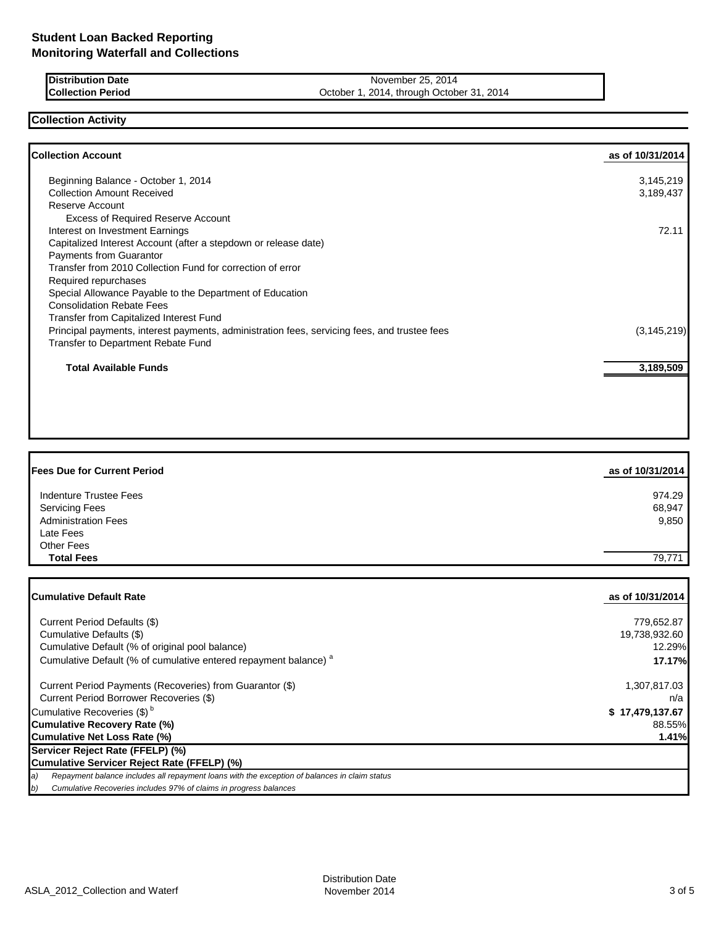**Distribution Date** November 25, 2014<br> **Collection Period** Collection Period Collection Period Collection Period Collection Period Collection Period Collection Collection Collection Collection Collection Collection Collect October 1, 2014, through October 31, 2014

## **Collection Activity**

| <b>Collection Account</b>                                                                    | as of 10/31/2014 |
|----------------------------------------------------------------------------------------------|------------------|
| Beginning Balance - October 1, 2014                                                          | 3,145,219        |
| <b>Collection Amount Received</b>                                                            | 3,189,437        |
| Reserve Account                                                                              |                  |
| <b>Excess of Required Reserve Account</b>                                                    |                  |
| Interest on Investment Earnings                                                              | 72.11            |
| Capitalized Interest Account (after a stepdown or release date)                              |                  |
| Payments from Guarantor                                                                      |                  |
| Transfer from 2010 Collection Fund for correction of error                                   |                  |
| Required repurchases                                                                         |                  |
| Special Allowance Payable to the Department of Education                                     |                  |
| <b>Consolidation Rebate Fees</b>                                                             |                  |
| Transfer from Capitalized Interest Fund                                                      |                  |
| Principal payments, interest payments, administration fees, servicing fees, and trustee fees | (3, 145, 219)    |
| Transfer to Department Rebate Fund                                                           |                  |
| <b>Total Available Funds</b>                                                                 | 3,189,509        |
|                                                                                              |                  |
|                                                                                              |                  |
|                                                                                              |                  |

| <b>Fees Due for Current Period</b> | as of 10/31/2014 |
|------------------------------------|------------------|
| Indenture Trustee Fees             | 974.29           |
| <b>Servicing Fees</b>              | 68,947           |
| <b>Administration Fees</b>         | 9,850            |
| Late Fees                          |                  |
| Other Fees                         |                  |
| <b>Total Fees</b>                  | 79,771           |

| <b>ICumulative Default Rate</b>                                                                     | as of 10/31/2014 |
|-----------------------------------------------------------------------------------------------------|------------------|
|                                                                                                     |                  |
| Current Period Defaults (\$)                                                                        | 779,652.87       |
| Cumulative Defaults (\$)                                                                            | 19,738,932.60    |
| Cumulative Default (% of original pool balance)                                                     | 12.29%           |
| Cumulative Default (% of cumulative entered repayment balance) <sup>a</sup>                         | 17.17%           |
| Current Period Payments (Recoveries) from Guarantor (\$)                                            | 1,307,817.03     |
| Current Period Borrower Recoveries (\$)                                                             | n/a              |
| Cumulative Recoveries (\$) <sup>b</sup>                                                             | \$17,479,137.67  |
| Cumulative Recovery Rate (%)                                                                        | 88.55%           |
| Cumulative Net Loss Rate (%)                                                                        | 1.41%            |
| Servicer Reject Rate (FFELP) (%)                                                                    |                  |
| Cumulative Servicer Reject Rate (FFELP) (%)                                                         |                  |
| a)<br>Repayment balance includes all repayment loans with the exception of balances in claim status |                  |
| b)<br>Cumulative Recoveries includes 97% of claims in progress balances                             |                  |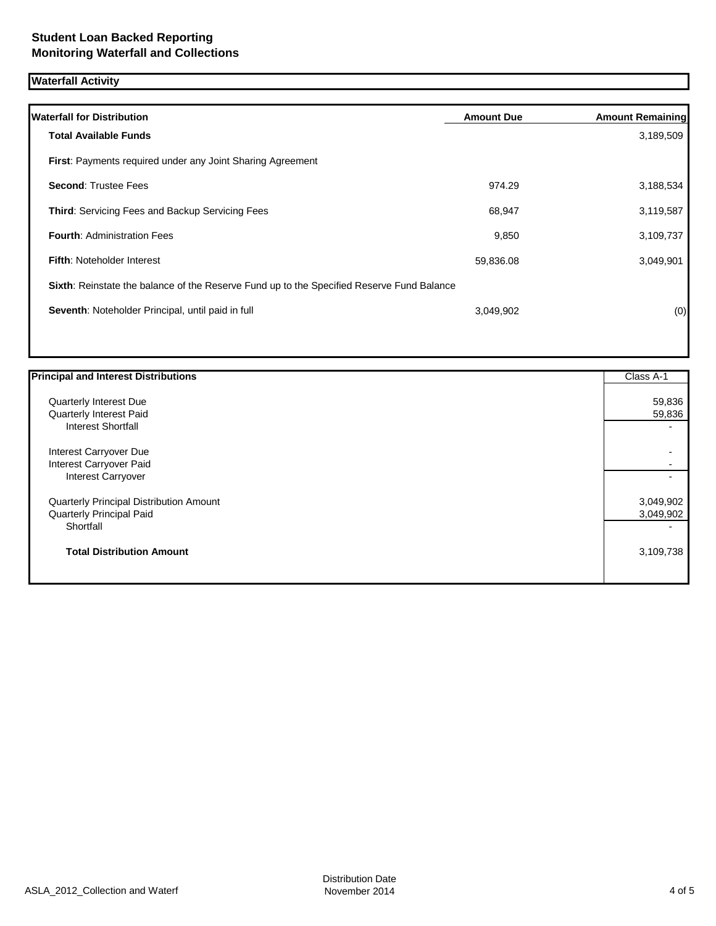# **Waterfall Activity**

| <b>Waterfall for Distribution</b>                                                         | <b>Amount Due</b> | <b>Amount Remaining</b> |
|-------------------------------------------------------------------------------------------|-------------------|-------------------------|
| <b>Total Available Funds</b>                                                              |                   | 3,189,509               |
| <b>First: Payments required under any Joint Sharing Agreement</b>                         |                   |                         |
| <b>Second: Trustee Fees</b>                                                               | 974.29            | 3,188,534               |
| <b>Third:</b> Servicing Fees and Backup Servicing Fees                                    | 68,947            | 3,119,587               |
| <b>Fourth: Administration Fees</b>                                                        | 9,850             | 3,109,737               |
| <b>Fifth: Noteholder Interest</b>                                                         | 59,836.08         | 3,049,901               |
| Sixth: Reinstate the balance of the Reserve Fund up to the Specified Reserve Fund Balance |                   |                         |
| Seventh: Noteholder Principal, until paid in full                                         | 3,049,902         | (0)                     |
|                                                                                           |                   |                         |

| <b>Principal and Interest Distributions</b> | Class A-1                |
|---------------------------------------------|--------------------------|
| Quarterly Interest Due                      | 59,836                   |
| Quarterly Interest Paid                     | 59,836                   |
| <b>Interest Shortfall</b>                   |                          |
| Interest Carryover Due                      |                          |
| Interest Carryover Paid                     |                          |
| Interest Carryover                          | $\overline{\phantom{0}}$ |
| Quarterly Principal Distribution Amount     | 3,049,902                |
| Quarterly Principal Paid                    | 3,049,902                |
| Shortfall                                   |                          |
| <b>Total Distribution Amount</b>            | 3,109,738                |
|                                             |                          |